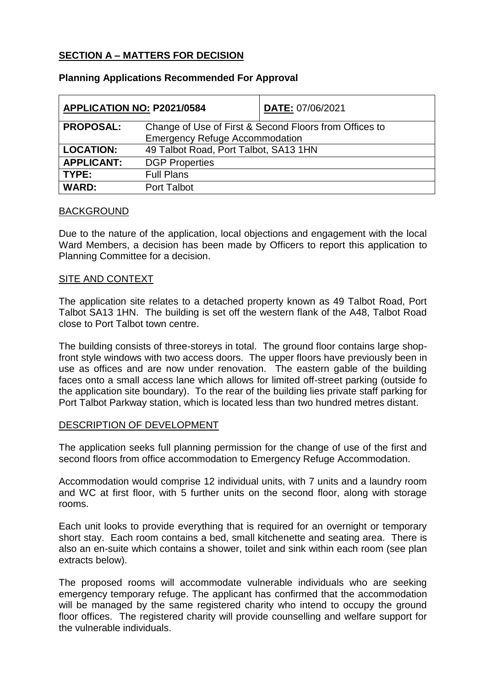# **SECTION A – MATTERS FOR DECISION**

| APPLICATION NO: P2021/0584 |                                                        | DATE: 07/06/2021 |
|----------------------------|--------------------------------------------------------|------------------|
| <b>PROPOSAL:</b>           | Change of Use of First & Second Floors from Offices to |                  |
|                            | <b>Emergency Refuge Accommodation</b>                  |                  |
| <b>LOCATION:</b>           | 49 Talbot Road, Port Talbot, SA13 1HN                  |                  |
| <b>APPLICANT:</b>          | <b>DGP Properties</b>                                  |                  |
| TYPE:                      | <b>Full Plans</b>                                      |                  |
| <b>WARD:</b>               | <b>Port Talbot</b>                                     |                  |

## **Planning Applications Recommended For Approval**

## BACKGROUND

Due to the nature of the application, local objections and engagement with the local Ward Members, a decision has been made by Officers to report this application to Planning Committee for a decision.

## SITE AND CONTEXT

The application site relates to a detached property known as 49 Talbot Road, Port Talbot SA13 1HN. The building is set off the western flank of the A48, Talbot Road close to Port Talbot town centre.

The building consists of three-storeys in total. The ground floor contains large shopfront style windows with two access doors. The upper floors have previously been in use as offices and are now under renovation. The eastern gable of the building faces onto a small access lane which allows for limited off-street parking (outside fo the application site boundary). To the rear of the building lies private staff parking for Port Talbot Parkway station, which is located less than two hundred metres distant.

# DESCRIPTION OF DEVELOPMENT

The application seeks full planning permission for the change of use of the first and second floors from office accommodation to Emergency Refuge Accommodation.

Accommodation would comprise 12 individual units, with 7 units and a laundry room and WC at first floor, with 5 further units on the second floor, along with storage rooms.

Each unit looks to provide everything that is required for an overnight or temporary short stay. Each room contains a bed, small kitchenette and seating area. There is also an en-suite which contains a shower, toilet and sink within each room (see plan extracts below).

The proposed rooms will accommodate vulnerable individuals who are seeking emergency temporary refuge. The applicant has confirmed that the accommodation will be managed by the same registered charity who intend to occupy the ground floor offices. The registered charity will provide counselling and welfare support for the vulnerable individuals.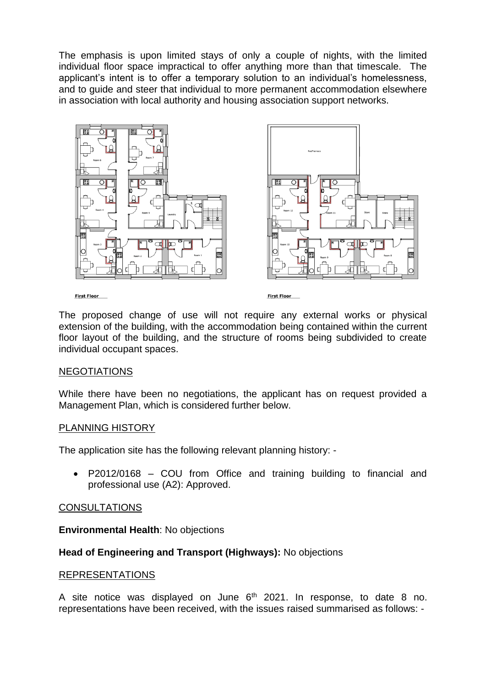The emphasis is upon limited stays of only a couple of nights, with the limited individual floor space impractical to offer anything more than that timescale. The applicant's intent is to offer a temporary solution to an individual's homelessness, and to guide and steer that individual to more permanent accommodation elsewhere in association with local authority and housing association support networks.



The proposed change of use will not require any external works or physical extension of the building, with the accommodation being contained within the current floor layout of the building, and the structure of rooms being subdivided to create individual occupant spaces.

# NEGOTIATIONS

While there have been no negotiations, the applicant has on request provided a Management Plan, which is considered further below.

## PLANNING HISTORY

The application site has the following relevant planning history: -

 P2012/0168 – COU from Office and training building to financial and professional use (A2): Approved.

#### CONSULTATIONS

**Environmental Health**: No objections

## **Head of Engineering and Transport (Highways):** No objections

#### REPRESENTATIONS

A site notice was displayed on June  $6<sup>th</sup>$  2021. In response, to date 8 no. representations have been received, with the issues raised summarised as follows: -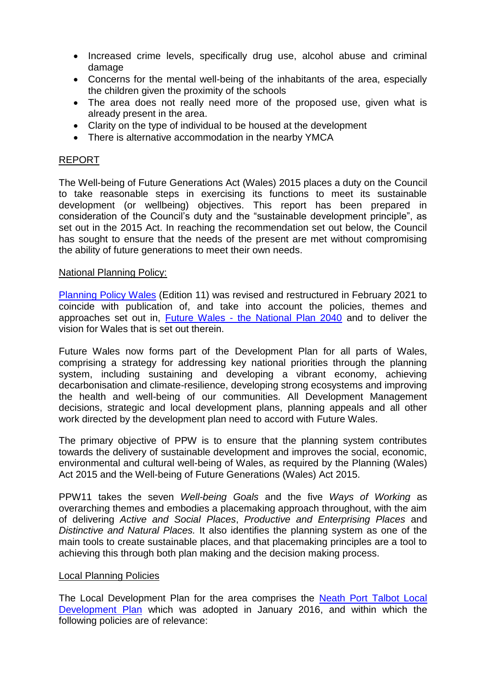- Increased crime levels, specifically drug use, alcohol abuse and criminal damage
- Concerns for the mental well-being of the inhabitants of the area, especially the children given the proximity of the schools
- The area does not really need more of the proposed use, given what is already present in the area.
- Clarity on the type of individual to be housed at the development
- There is alternative accommodation in the nearby YMCA

# REPORT

The Well-being of Future Generations Act (Wales) 2015 places a duty on the Council to take reasonable steps in exercising its functions to meet its sustainable development (or wellbeing) objectives. This report has been prepared in consideration of the Council's duty and the "sustainable development principle", as set out in the 2015 Act. In reaching the recommendation set out below, the Council has sought to ensure that the needs of the present are met without compromising the ability of future generations to meet their own needs.

## National Planning Policy:

[Planning Policy Wales](https://gov.wales/sites/default/files/publications/2021-02/planning-policy-wales-edition-11_0.pdf) (Edition 11) was revised and restructured in February 2021 to coincide with publication of, and take into account the policies, themes and approaches set out in, Future Wales - [the National Plan 2040](https://gov.wales/sites/default/files/publications/2021-02/future-wales-the-national-plan-2040.pdf) and to deliver the vision for Wales that is set out therein.

Future Wales now forms part of the Development Plan for all parts of Wales, comprising a strategy for addressing key national priorities through the planning system, including sustaining and developing a vibrant economy, achieving decarbonisation and climate-resilience, developing strong ecosystems and improving the health and well-being of our communities. All Development Management decisions, strategic and local development plans, planning appeals and all other work directed by the development plan need to accord with Future Wales.

The primary objective of PPW is to ensure that the planning system contributes towards the delivery of sustainable development and improves the social, economic, environmental and cultural well-being of Wales, as required by the Planning (Wales) Act 2015 and the Well-being of Future Generations (Wales) Act 2015.

PPW11 takes the seven *Well-being Goals* and the five *Ways of Working* as overarching themes and embodies a placemaking approach throughout, with the aim of delivering *Active and Social Places*, *Productive and Enterprising Places* and *Distinctive and Natural Places.* It also identifies the planning system as one of the main tools to create sustainable places, and that placemaking principles are a tool to achieving this through both plan making and the decision making process.

#### Local Planning Policies

The Local Development Plan for the area comprises the [Neath Port Talbot Local](https://www.npt.gov.uk/7328)  [Development Plan](https://www.npt.gov.uk/7328) which was adopted in January 2016, and within which the following policies are of relevance: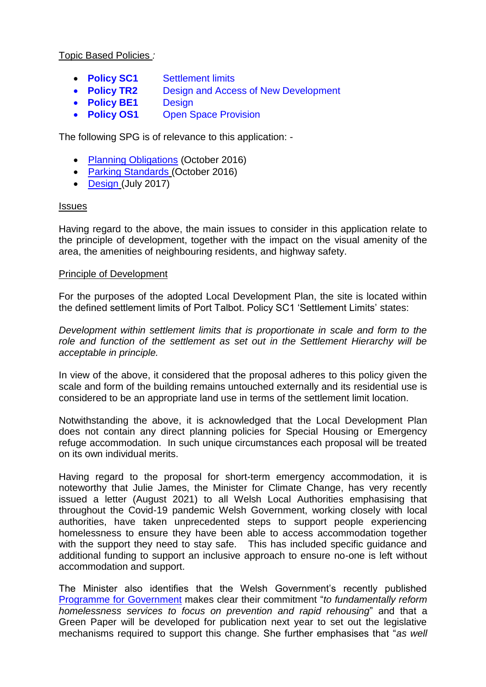Topic Based Policies *:*

- **Policy SC1** [Settlement limits](https://www.npt.gov.uk/PDF/ldp_written_statement_jan16.pdf#PAGE=38)
- **Policy TR2** Design and Access of New Development
- **[Policy BE1](https://www.npt.gov.uk/PDF/ldp_written_statement_jan16.pdf#PAGE=87)** Design
- **Policy OS1** Open Space Provision

The following SPG is of relevance to this application: -

- [Planning Obligations](https://www.npt.gov.uk/pdf/spg_planning_obligations_oct16.pdf) (October 2016)
- [Parking Standards](https://www.npt.gov.uk/PDF/spg_parking_standards_oct16.pdf) (October 2016)
- [Design](https://www.npt.gov.uk/media/7237/spg_design_july17.pdf) (July 2017)

## Issues

Having regard to the above, the main issues to consider in this application relate to the principle of development, together with the impact on the visual amenity of the area, the amenities of neighbouring residents, and highway safety.

## Principle of Development

For the purposes of the adopted Local Development Plan, the site is located within the defined settlement limits of Port Talbot. Policy SC1 'Settlement Limits' states:

*Development within settlement limits that is proportionate in scale and form to the role and function of the settlement as set out in the Settlement Hierarchy will be acceptable in principle.*

In view of the above, it considered that the proposal adheres to this policy given the scale and form of the building remains untouched externally and its residential use is considered to be an appropriate land use in terms of the settlement limit location.

Notwithstanding the above, it is acknowledged that the Local Development Plan does not contain any direct planning policies for Special Housing or Emergency refuge accommodation. In such unique circumstances each proposal will be treated on its own individual merits.

Having regard to the proposal for short-term emergency accommodation, it is noteworthy that Julie James, the Minister for Climate Change, has very recently issued a letter (August 2021) to all Welsh Local Authorities emphasising that throughout the Covid-19 pandemic Welsh Government, working closely with local authorities, have taken unprecedented steps to support people experiencing homelessness to ensure they have been able to access accommodation together with the support they need to stay safe. This has included specific guidance and additional funding to support an inclusive approach to ensure no-one is left without accommodation and support.

The Minister also identifies that the Welsh Government's recently published [Programme for](https://gov.wales/programme-for-government-2021-to-2026-html) Government makes clear their commitment "*to fundamentally reform homelessness services to focus on prevention and rapid rehousing*" and that a Green Paper will be developed for publication next year to set out the legislative mechanisms required to support this change. She further emphasises that "*as well*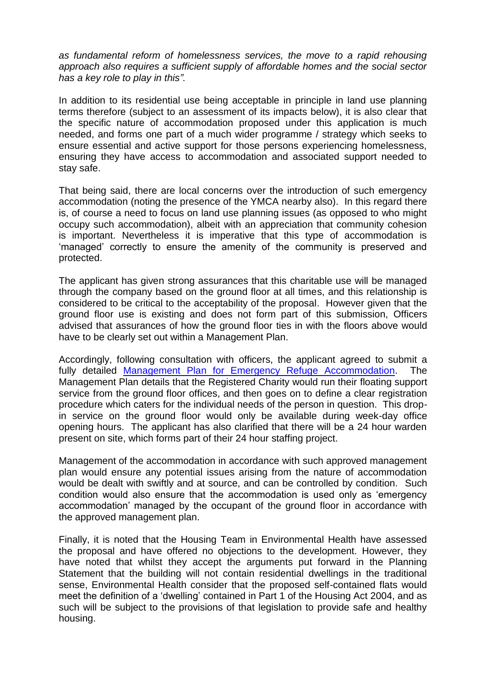*as fundamental reform of homelessness services, the move to a rapid rehousing approach also requires a sufficient supply of affordable homes and the social sector has a key role to play in this".*

In addition to its residential use being acceptable in principle in land use planning terms therefore (subject to an assessment of its impacts below), it is also clear that the specific nature of accommodation proposed under this application is much needed, and forms one part of a much wider programme / strategy which seeks to ensure essential and active support for those persons experiencing homelessness, ensuring they have access to accommodation and associated support needed to stay safe.

That being said, there are local concerns over the introduction of such emergency accommodation (noting the presence of the YMCA nearby also). In this regard there is, of course a need to focus on land use planning issues (as opposed to who might occupy such accommodation), albeit with an appreciation that community cohesion is important. Nevertheless it is imperative that this type of accommodation is 'managed' correctly to ensure the amenity of the community is preserved and protected.

The applicant has given strong assurances that this charitable use will be managed through the company based on the ground floor at all times, and this relationship is considered to be critical to the acceptability of the proposal. However given that the ground floor use is existing and does not form part of this submission, Officers advised that assurances of how the ground floor ties in with the floors above would have to be clearly set out within a Management Plan.

Accordingly, following consultation with officers, the applicant agreed to submit a fully detailed [Management Plan for Emergency Refuge Accommodation.](https://maps.npt.gov.uk/iDocsPublic/ShowDocument.aspx?id=738043) The Management Plan details that the Registered Charity would run their floating support service from the ground floor offices, and then goes on to define a clear registration procedure which caters for the individual needs of the person in question. This dropin service on the ground floor would only be available during week-day office opening hours. The applicant has also clarified that there will be a 24 hour warden present on site, which forms part of their 24 hour staffing project.

Management of the accommodation in accordance with such approved management plan would ensure any potential issues arising from the nature of accommodation would be dealt with swiftly and at source, and can be controlled by condition. Such condition would also ensure that the accommodation is used only as 'emergency accommodation' managed by the occupant of the ground floor in accordance with the approved management plan.

Finally, it is noted that the Housing Team in Environmental Health have assessed the proposal and have offered no objections to the development. However, they have noted that whilst they accept the arguments put forward in the Planning Statement that the building will not contain residential dwellings in the traditional sense, Environmental Health consider that the proposed self-contained flats would meet the definition of a 'dwelling' contained in Part 1 of the Housing Act 2004, and as such will be subject to the provisions of that legislation to provide safe and healthy housing.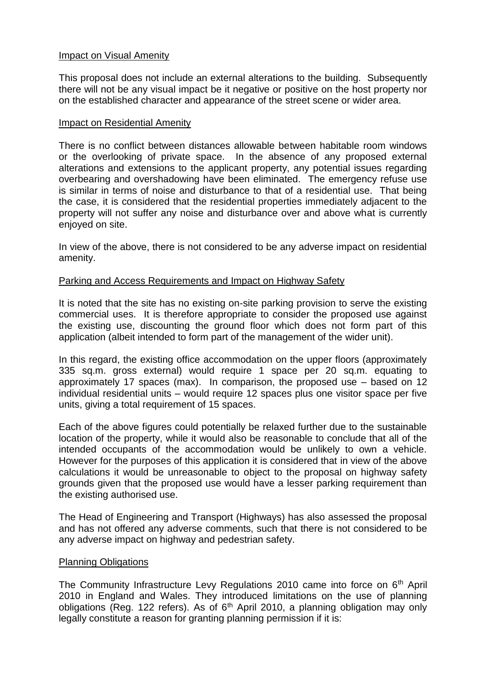# **Impact on Visual Amenity**

This proposal does not include an external alterations to the building. Subsequently there will not be any visual impact be it negative or positive on the host property nor on the established character and appearance of the street scene or wider area.

#### Impact on Residential Amenity

There is no conflict between distances allowable between habitable room windows or the overlooking of private space. In the absence of any proposed external alterations and extensions to the applicant property, any potential issues regarding overbearing and overshadowing have been eliminated. The emergency refuse use is similar in terms of noise and disturbance to that of a residential use. That being the case, it is considered that the residential properties immediately adjacent to the property will not suffer any noise and disturbance over and above what is currently enjoyed on site.

In view of the above, there is not considered to be any adverse impact on residential amenity.

## Parking and Access Requirements and Impact on Highway Safety

It is noted that the site has no existing on-site parking provision to serve the existing commercial uses. It is therefore appropriate to consider the proposed use against the existing use, discounting the ground floor which does not form part of this application (albeit intended to form part of the management of the wider unit).

In this regard, the existing office accommodation on the upper floors (approximately 335 sq.m. gross external) would require 1 space per 20 sq.m. equating to approximately 17 spaces (max). In comparison, the proposed use – based on 12 individual residential units – would require 12 spaces plus one visitor space per five units, giving a total requirement of 15 spaces.

Each of the above figures could potentially be relaxed further due to the sustainable location of the property, while it would also be reasonable to conclude that all of the intended occupants of the accommodation would be unlikely to own a vehicle. However for the purposes of this application it is considered that in view of the above calculations it would be unreasonable to object to the proposal on highway safety grounds given that the proposed use would have a lesser parking requirement than the existing authorised use.

The Head of Engineering and Transport (Highways) has also assessed the proposal and has not offered any adverse comments, such that there is not considered to be any adverse impact on highway and pedestrian safety.

# Planning Obligations

The Community Infrastructure Levy Regulations 2010 came into force on 6<sup>th</sup> April 2010 in England and Wales. They introduced limitations on the use of planning obligations (Reg. 122 refers). As of  $6<sup>th</sup>$  April 2010, a planning obligation may only legally constitute a reason for granting planning permission if it is: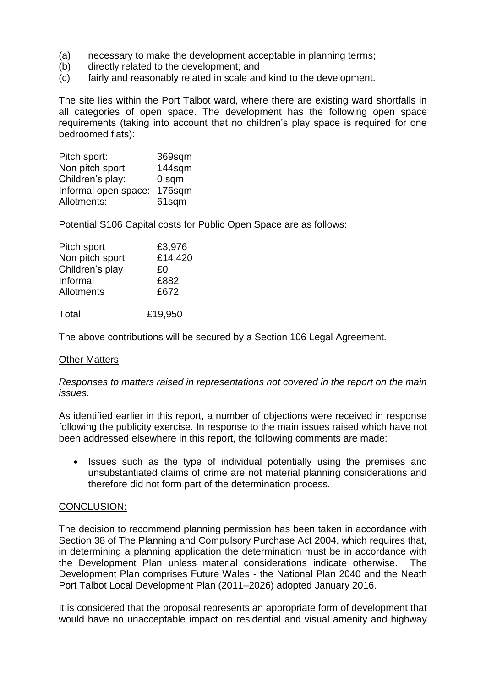- (a) necessary to make the development acceptable in planning terms;
- (b) directly related to the development; and
- (c) fairly and reasonably related in scale and kind to the development.

The site lies within the Port Talbot ward, where there are existing ward shortfalls in all categories of open space. The development has the following open space requirements (taking into account that no children's play space is required for one bedroomed flats):

| Pitch sport:         | 369sqm           |
|----------------------|------------------|
| Non pitch sport:     | 144sqm           |
| Children's play:     | 0 <sub>sqm</sub> |
| Informal open space: | 176sqm           |
| Allotments:          | 61sqm            |

Potential S106 Capital costs for Public Open Space are as follows:

| Pitch sport     | £3,976  |
|-----------------|---------|
| Non pitch sport | £14,420 |
| Children's play | £٥      |
| Informal        | £882    |
| Allotments      | £672    |
| Total           | £19,950 |

The above contributions will be secured by a Section 106 Legal Agreement.

#### **Other Matters**

*Responses to matters raised in representations not covered in the report on the main issues.*

As identified earlier in this report, a number of objections were received in response following the publicity exercise. In response to the main issues raised which have not been addressed elsewhere in this report, the following comments are made:

• Issues such as the type of individual potentially using the premises and unsubstantiated claims of crime are not material planning considerations and therefore did not form part of the determination process.

#### CONCLUSION:

The decision to recommend planning permission has been taken in accordance with Section 38 of The Planning and Compulsory Purchase Act 2004, which requires that, in determining a planning application the determination must be in accordance with the Development Plan unless material considerations indicate otherwise. The Development Plan comprises Future Wales - the National Plan 2040 and the Neath Port Talbot Local Development Plan (2011–2026) adopted January 2016.

It is considered that the proposal represents an appropriate form of development that would have no unacceptable impact on residential and visual amenity and highway